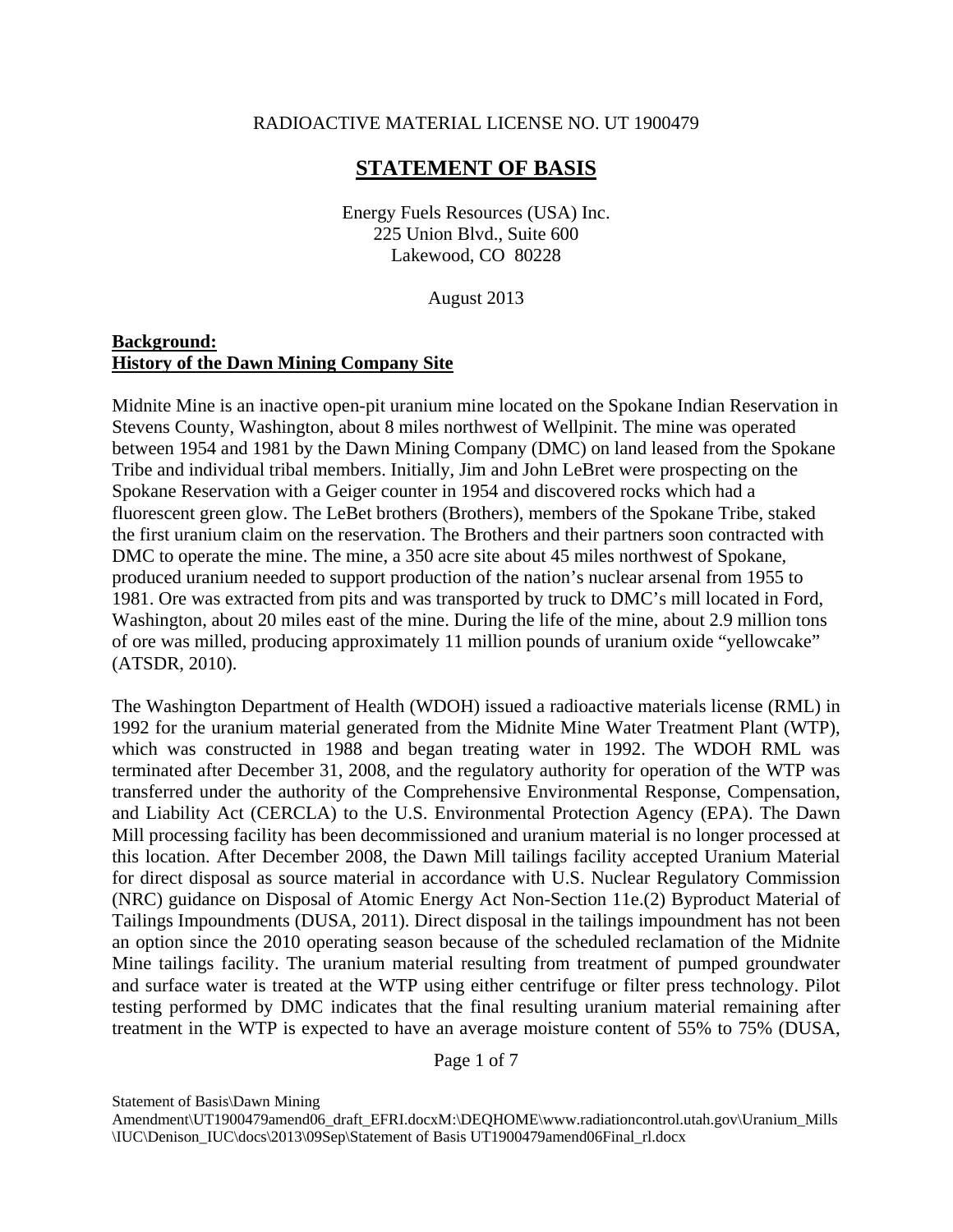#### RADIOACTIVE MATERIAL LICENSE NO. UT 1900479

# **STATEMENT OF BASIS**

 Energy Fuels Resources (USA) Inc. 225 Union Blvd., Suite 600 Lakewood, CO 80228

August 2013

### **Background: History of the Dawn Mining Company Site**

Midnite Mine is an inactive open-pit uranium mine located on the Spokane Indian Reservation in Stevens County, Washington, about 8 miles northwest of Wellpinit. The mine was operated between 1954 and 1981 by the Dawn Mining Company (DMC) on land leased from the Spokane Tribe and individual tribal members. Initially, Jim and John LeBret were prospecting on the Spokane Reservation with a Geiger counter in 1954 and discovered rocks which had a fluorescent green glow. The LeBet brothers (Brothers), members of the Spokane Tribe, staked the first uranium claim on the reservation. The Brothers and their partners soon contracted with DMC to operate the mine. The mine, a 350 acre site about 45 miles northwest of Spokane, produced uranium needed to support production of the nation's nuclear arsenal from 1955 to 1981. Ore was extracted from pits and was transported by truck to DMC's mill located in Ford, Washington, about 20 miles east of the mine. During the life of the mine, about 2.9 million tons of ore was milled, producing approximately 11 million pounds of uranium oxide "yellowcake" (ATSDR, 2010).

The Washington Department of Health (WDOH) issued a radioactive materials license (RML) in 1992 for the uranium material generated from the Midnite Mine Water Treatment Plant (WTP), which was constructed in 1988 and began treating water in 1992. The WDOH RML was terminated after December 31, 2008, and the regulatory authority for operation of the WTP was transferred under the authority of the Comprehensive Environmental Response, Compensation, and Liability Act (CERCLA) to the U.S. Environmental Protection Agency (EPA). The Dawn Mill processing facility has been decommissioned and uranium material is no longer processed at this location. After December 2008, the Dawn Mill tailings facility accepted Uranium Material for direct disposal as source material in accordance with U.S. Nuclear Regulatory Commission (NRC) guidance on Disposal of Atomic Energy Act Non-Section 11e.(2) Byproduct Material of Tailings Impoundments (DUSA, 2011). Direct disposal in the tailings impoundment has not been an option since the 2010 operating season because of the scheduled reclamation of the Midnite Mine tailings facility. The uranium material resulting from treatment of pumped groundwater and surface water is treated at the WTP using either centrifuge or filter press technology. Pilot testing performed by DMC indicates that the final resulting uranium material remaining after treatment in the WTP is expected to have an average moisture content of 55% to 75% (DUSA,

Page 1 of 7

Statement of Basis\Dawn Mining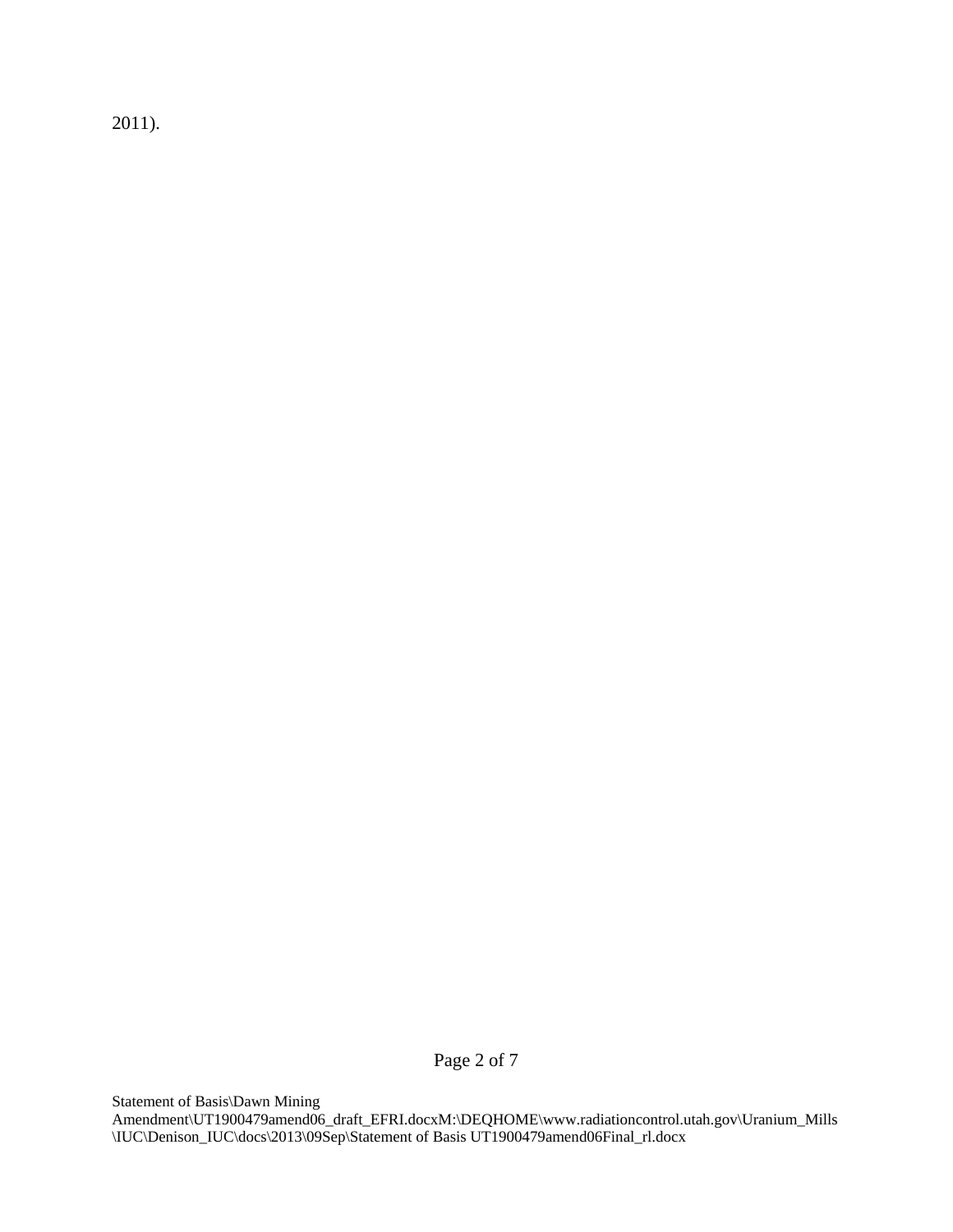2011).

Page 2 of 7

Statement of Basis\Dawn Mining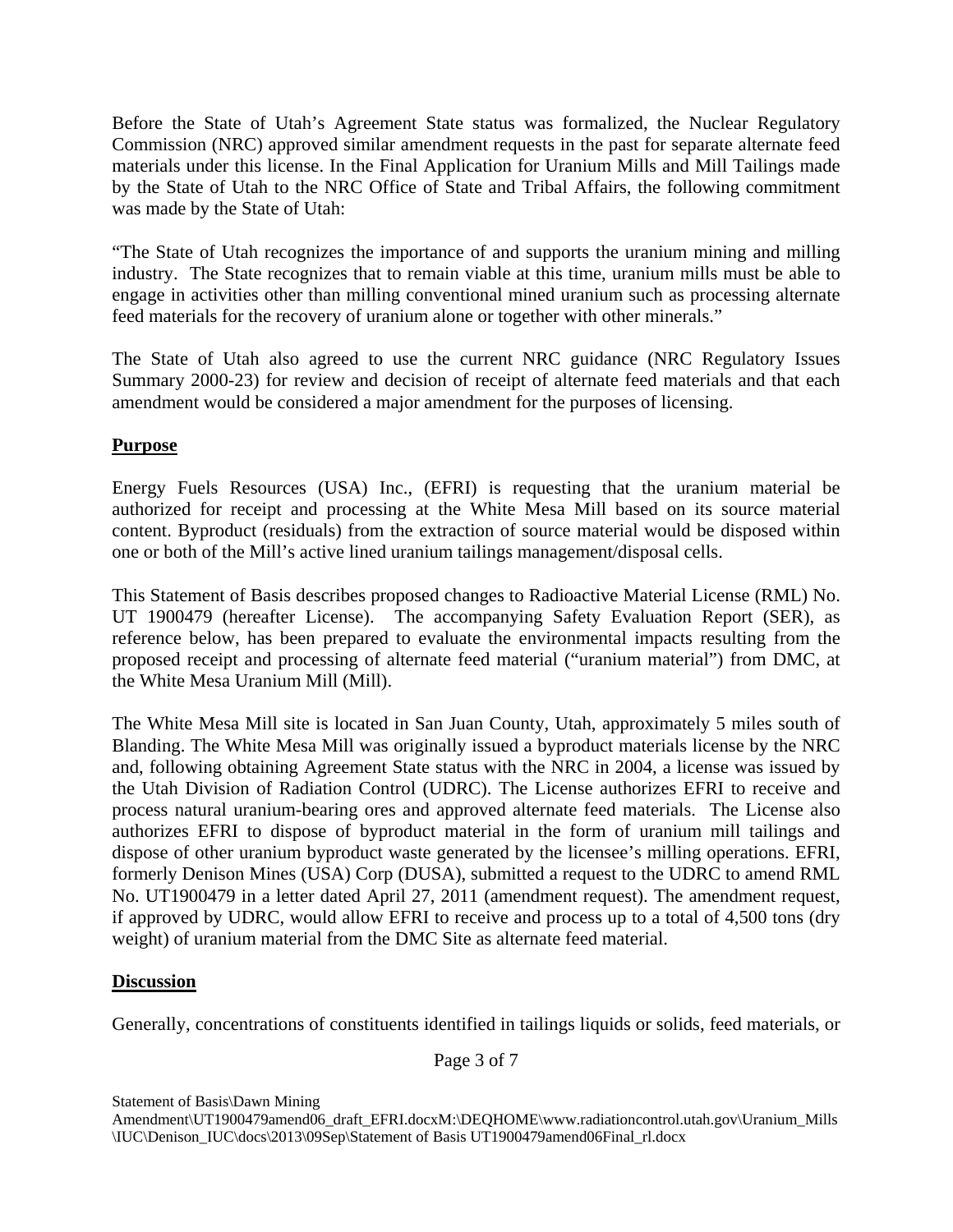Before the State of Utah's Agreement State status was formalized, the Nuclear Regulatory Commission (NRC) approved similar amendment requests in the past for separate alternate feed materials under this license. In the Final Application for Uranium Mills and Mill Tailings made by the State of Utah to the NRC Office of State and Tribal Affairs, the following commitment was made by the State of Utah:

"The State of Utah recognizes the importance of and supports the uranium mining and milling industry. The State recognizes that to remain viable at this time, uranium mills must be able to engage in activities other than milling conventional mined uranium such as processing alternate feed materials for the recovery of uranium alone or together with other minerals."

The State of Utah also agreed to use the current NRC guidance (NRC Regulatory Issues Summary 2000-23) for review and decision of receipt of alternate feed materials and that each amendment would be considered a major amendment for the purposes of licensing.

# **Purpose**

Energy Fuels Resources (USA) Inc., (EFRI) is requesting that the uranium material be authorized for receipt and processing at the White Mesa Mill based on its source material content. Byproduct (residuals) from the extraction of source material would be disposed within one or both of the Mill's active lined uranium tailings management/disposal cells.

This Statement of Basis describes proposed changes to Radioactive Material License (RML) No. UT 1900479 (hereafter License). The accompanying Safety Evaluation Report (SER), as reference below, has been prepared to evaluate the environmental impacts resulting from the proposed receipt and processing of alternate feed material ("uranium material") from DMC, at the White Mesa Uranium Mill (Mill).

The White Mesa Mill site is located in San Juan County, Utah, approximately 5 miles south of Blanding. The White Mesa Mill was originally issued a byproduct materials license by the NRC and, following obtaining Agreement State status with the NRC in 2004, a license was issued by the Utah Division of Radiation Control (UDRC). The License authorizes EFRI to receive and process natural uranium-bearing ores and approved alternate feed materials. The License also authorizes EFRI to dispose of byproduct material in the form of uranium mill tailings and dispose of other uranium byproduct waste generated by the licensee's milling operations. EFRI, formerly Denison Mines (USA) Corp (DUSA), submitted a request to the UDRC to amend RML No. UT1900479 in a letter dated April 27, 2011 (amendment request). The amendment request, if approved by UDRC, would allow EFRI to receive and process up to a total of 4,500 tons (dry weight) of uranium material from the DMC Site as alternate feed material.

## **Discussion**

Generally, concentrations of constituents identified in tailings liquids or solids, feed materials, or

Page 3 of 7

Statement of Basis\Dawn Mining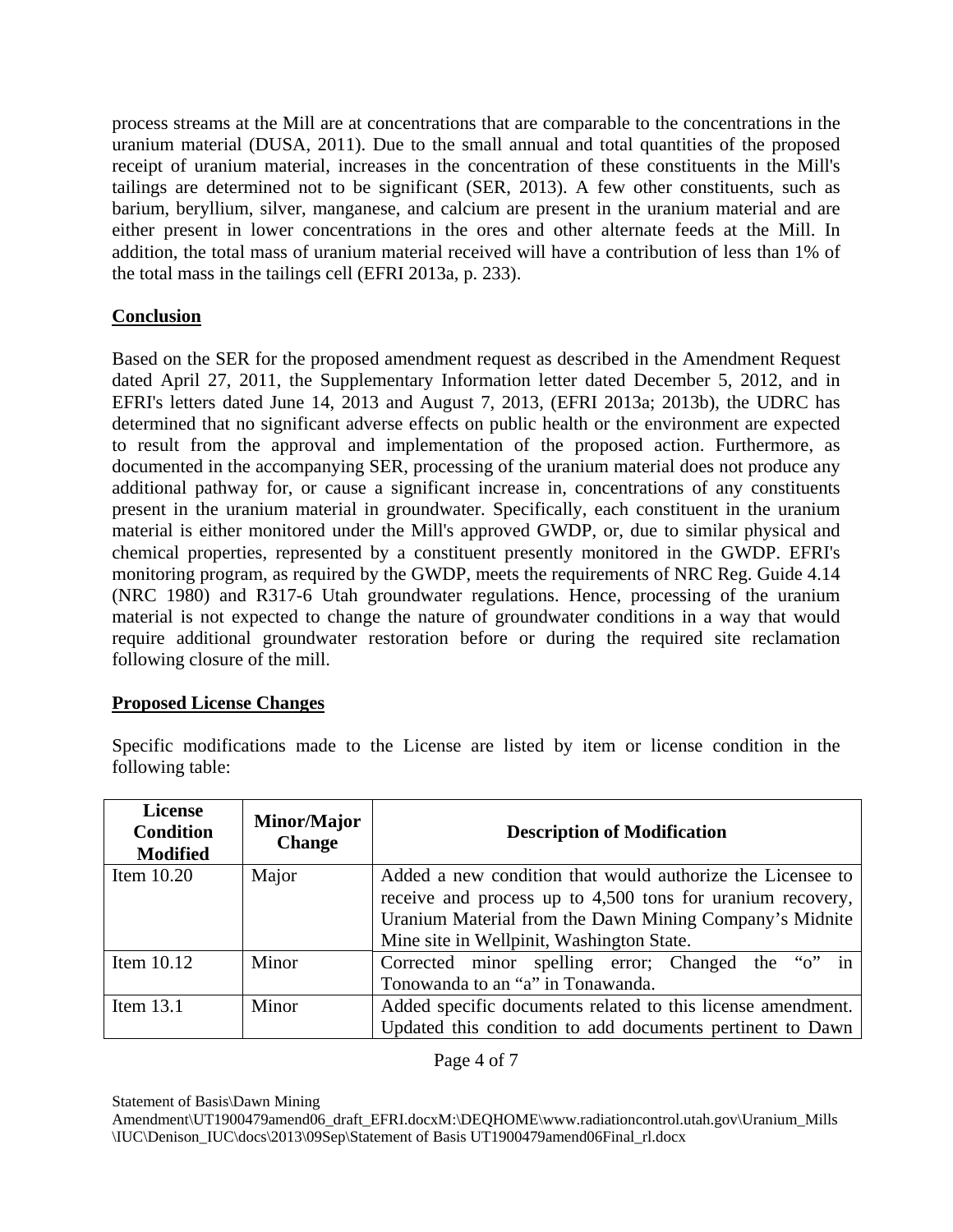process streams at the Mill are at concentrations that are comparable to the concentrations in the uranium material (DUSA, 2011). Due to the small annual and total quantities of the proposed receipt of uranium material, increases in the concentration of these constituents in the Mill's tailings are determined not to be significant (SER, 2013). A few other constituents, such as barium, beryllium, silver, manganese, and calcium are present in the uranium material and are either present in lower concentrations in the ores and other alternate feeds at the Mill. In addition, the total mass of uranium material received will have a contribution of less than 1% of the total mass in the tailings cell (EFRI 2013a, p. 233).

## **Conclusion**

Based on the SER for the proposed amendment request as described in the Amendment Request dated April 27, 2011, the Supplementary Information letter dated December 5, 2012, and in EFRI's letters dated June 14, 2013 and August 7, 2013, (EFRI 2013a; 2013b), the UDRC has determined that no significant adverse effects on public health or the environment are expected to result from the approval and implementation of the proposed action. Furthermore, as documented in the accompanying SER, processing of the uranium material does not produce any additional pathway for, or cause a significant increase in, concentrations of any constituents present in the uranium material in groundwater. Specifically, each constituent in the uranium material is either monitored under the Mill's approved GWDP, or, due to similar physical and chemical properties, represented by a constituent presently monitored in the GWDP. EFRI's monitoring program, as required by the GWDP, meets the requirements of NRC Reg. Guide 4.14 (NRC 1980) and R317-6 Utah groundwater regulations. Hence, processing of the uranium material is not expected to change the nature of groundwater conditions in a way that would require additional groundwater restoration before or during the required site reclamation following closure of the mill.

## **Proposed License Changes**

Specific modifications made to the License are listed by item or license condition in the following table:

| <b>License</b><br><b>Condition</b><br><b>Modified</b> | Minor/Major<br><b>Change</b> | <b>Description of Modification</b>                          |
|-------------------------------------------------------|------------------------------|-------------------------------------------------------------|
| Item $10.20$                                          | Major                        | Added a new condition that would authorize the Licensee to  |
|                                                       |                              | receive and process up to 4,500 tons for uranium recovery,  |
|                                                       |                              | Uranium Material from the Dawn Mining Company's Midnite     |
|                                                       |                              | Mine site in Wellpinit, Washington State.                   |
| Item $10.12$                                          | Minor                        | Corrected minor spelling error; Changed the "o" in          |
|                                                       |                              | Tonowanda to an "a" in Tonawanda.                           |
| Item 13.1                                             | Minor                        | Added specific documents related to this license amendment. |
|                                                       |                              | Updated this condition to add documents pertinent to Dawn   |

### Page 4 of 7

Statement of Basis\Dawn Mining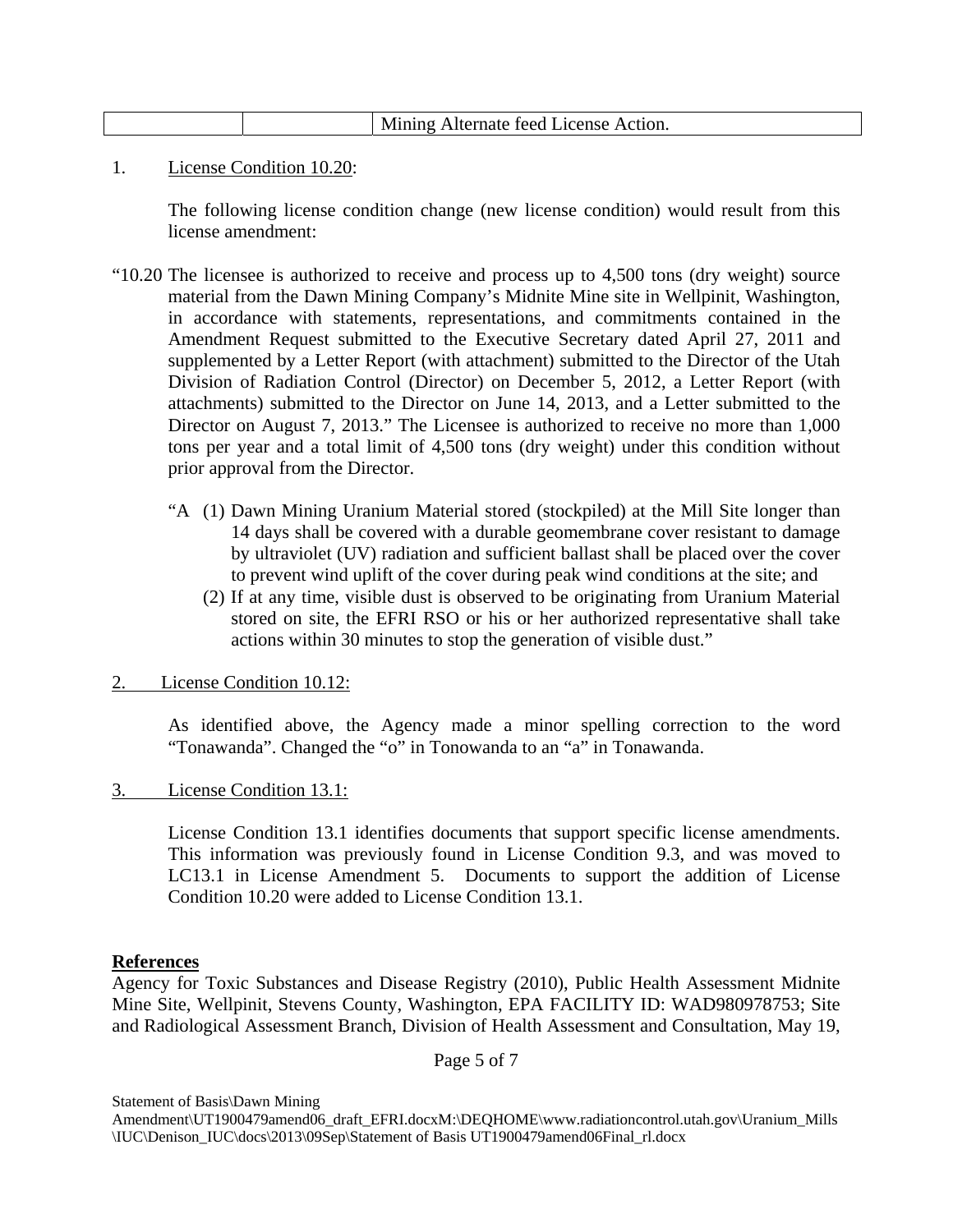|  | Alternate feed License Action.<br>11111 O |
|--|-------------------------------------------|
|  |                                           |

1. License Condition 10.20:

 The following license condition change (new license condition) would result from this license amendment:

- "10.20 The licensee is authorized to receive and process up to 4,500 tons (dry weight) source material from the Dawn Mining Company's Midnite Mine site in Wellpinit, Washington, in accordance with statements, representations, and commitments contained in the Amendment Request submitted to the Executive Secretary dated April 27, 2011 and supplemented by a Letter Report (with attachment) submitted to the Director of the Utah Division of Radiation Control (Director) on December 5, 2012, a Letter Report (with attachments) submitted to the Director on June 14, 2013, and a Letter submitted to the Director on August 7, 2013." The Licensee is authorized to receive no more than 1,000 tons per year and a total limit of 4,500 tons (dry weight) under this condition without prior approval from the Director.
	- "A (1) Dawn Mining Uranium Material stored (stockpiled) at the Mill Site longer than 14 days shall be covered with a durable geomembrane cover resistant to damage by ultraviolet (UV) radiation and sufficient ballast shall be placed over the cover to prevent wind uplift of the cover during peak wind conditions at the site; and
		- (2) If at any time, visible dust is observed to be originating from Uranium Material stored on site, the EFRI RSO or his or her authorized representative shall take actions within 30 minutes to stop the generation of visible dust."
- 2. License Condition 10.12:

As identified above, the Agency made a minor spelling correction to the word "Tonawanda". Changed the "o" in Tonowanda to an "a" in Tonawanda.

3. License Condition 13.1:

 License Condition 13.1 identifies documents that support specific license amendments. This information was previously found in License Condition 9.3, and was moved to LC13.1 in License Amendment 5. Documents to support the addition of License Condition 10.20 were added to License Condition 13.1.

#### **References**

Agency for Toxic Substances and Disease Registry (2010), Public Health Assessment Midnite Mine Site, Wellpinit, Stevens County, Washington, EPA FACILITY ID: WAD980978753; Site and Radiological Assessment Branch, Division of Health Assessment and Consultation, May 19,

Page 5 of 7

Statement of Basis\Dawn Mining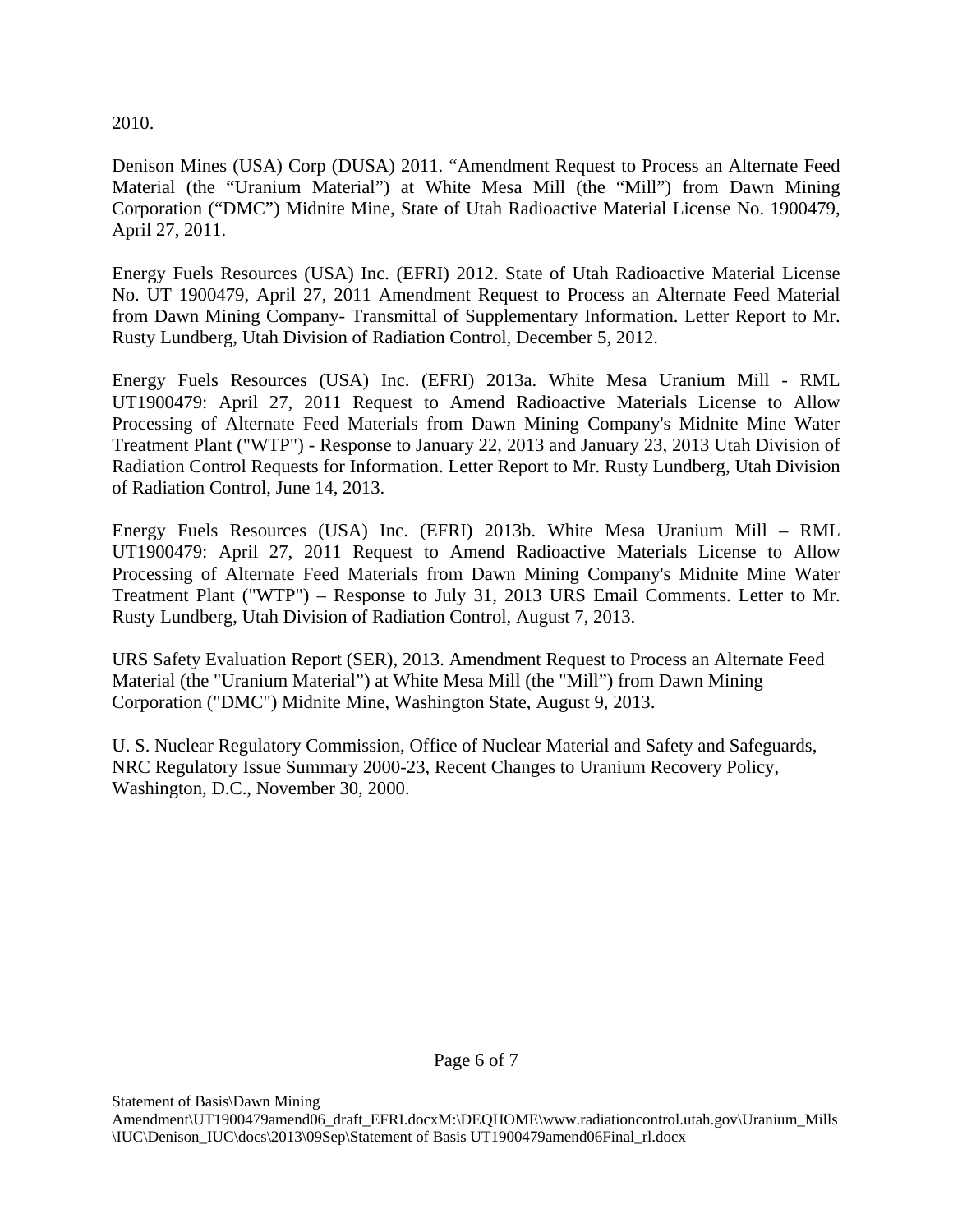2010.

Denison Mines (USA) Corp (DUSA) 2011. "Amendment Request to Process an Alternate Feed Material (the "Uranium Material") at White Mesa Mill (the "Mill") from Dawn Mining Corporation ("DMC") Midnite Mine, State of Utah Radioactive Material License No. 1900479, April 27, 2011.

Energy Fuels Resources (USA) Inc. (EFRI) 2012. State of Utah Radioactive Material License No. UT 1900479, April 27, 2011 Amendment Request to Process an Alternate Feed Material from Dawn Mining Company- Transmittal of Supplementary Information. Letter Report to Mr. Rusty Lundberg, Utah Division of Radiation Control, December 5, 2012.

Energy Fuels Resources (USA) Inc. (EFRI) 2013a. White Mesa Uranium Mill - RML UT1900479: April 27, 2011 Request to Amend Radioactive Materials License to Allow Processing of Alternate Feed Materials from Dawn Mining Company's Midnite Mine Water Treatment Plant ("WTP") - Response to January 22, 2013 and January 23, 2013 Utah Division of Radiation Control Requests for Information. Letter Report to Mr. Rusty Lundberg, Utah Division of Radiation Control, June 14, 2013.

Energy Fuels Resources (USA) Inc. (EFRI) 2013b. White Mesa Uranium Mill – RML UT1900479: April 27, 2011 Request to Amend Radioactive Materials License to Allow Processing of Alternate Feed Materials from Dawn Mining Company's Midnite Mine Water Treatment Plant ("WTP") – Response to July 31, 2013 URS Email Comments. Letter to Mr. Rusty Lundberg, Utah Division of Radiation Control, August 7, 2013.

URS Safety Evaluation Report (SER), 2013. Amendment Request to Process an Alternate Feed Material (the "Uranium Material") at White Mesa Mill (the "Mill") from Dawn Mining Corporation ("DMC") Midnite Mine, Washington State, August 9, 2013.

U. S. Nuclear Regulatory Commission, Office of Nuclear Material and Safety and Safeguards, NRC Regulatory Issue Summary 2000-23, Recent Changes to Uranium Recovery Policy, Washington, D.C., November 30, 2000.

Statement of Basis\Dawn Mining